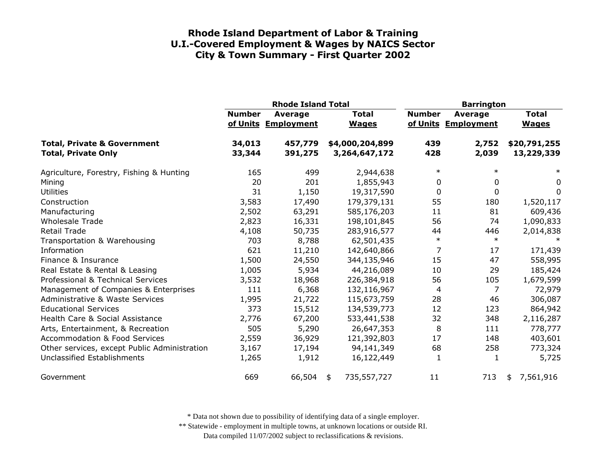|                                                                      |                  | <b>Rhode Island Total</b>      |                                  | <b>Barrington</b> |                                |                              |
|----------------------------------------------------------------------|------------------|--------------------------------|----------------------------------|-------------------|--------------------------------|------------------------------|
|                                                                      | <b>Number</b>    | Average<br>of Units Employment | <b>Total</b><br><b>Wages</b>     | <b>Number</b>     | Average<br>of Units Employment | <b>Total</b><br><b>Wages</b> |
| <b>Total, Private &amp; Government</b><br><b>Total, Private Only</b> | 34,013<br>33,344 | 457,779<br>391,275             | \$4,000,204,899<br>3,264,647,172 | 439<br>428        | 2,752<br>2,039                 | \$20,791,255<br>13,229,339   |
| Agriculture, Forestry, Fishing & Hunting                             | 165              | 499                            | 2,944,638                        | $\ast$            | $\ast$                         | $\ast$                       |
| Mining                                                               | 20               | 201                            | 1,855,943                        | 0                 | 0                              | 0                            |
| <b>Utilities</b>                                                     | 31               | 1,150                          | 19,317,590                       | 0                 | 0                              | 0                            |
| Construction                                                         | 3,583            | 17,490                         | 179,379,131                      | 55                | 180                            | 1,520,117                    |
| Manufacturing                                                        | 2,502            | 63,291                         | 585,176,203                      | 11                | 81                             | 609,436                      |
| <b>Wholesale Trade</b>                                               | 2,823            | 16,331                         | 198,101,845                      | 56                | 74                             | 1,090,833                    |
| <b>Retail Trade</b>                                                  | 4,108            | 50,735                         | 283,916,577                      | 44                | 446                            | 2,014,838                    |
| Transportation & Warehousing                                         | 703              | 8,788                          | 62,501,435                       | $\ast$            | $\ast$                         |                              |
| Information                                                          | 621              | 11,210                         | 142,640,866                      | 7                 | 17                             | 171,439                      |
| Finance & Insurance                                                  | 1,500            | 24,550                         | 344,135,946                      | 15                | 47                             | 558,995                      |
| Real Estate & Rental & Leasing                                       | 1,005            | 5,934                          | 44,216,089                       | 10                | 29                             | 185,424                      |
| Professional & Technical Services                                    | 3,532            | 18,968                         | 226,384,918                      | 56                | 105                            | 1,679,599                    |
| Management of Companies & Enterprises                                | 111              | 6,368                          | 132,116,967                      | 4                 | 7                              | 72,979                       |
| <b>Administrative &amp; Waste Services</b>                           | 1,995            | 21,722                         | 115,673,759                      | 28                | 46                             | 306,087                      |
| <b>Educational Services</b>                                          | 373              | 15,512                         | 134,539,773                      | 12                | 123                            | 864,942                      |
| Health Care & Social Assistance                                      | 2,776            | 67,200                         | 533,441,538                      | 32                | 348                            | 2,116,287                    |
| Arts, Entertainment, & Recreation                                    | 505              | 5,290                          | 26,647,353                       | 8                 | 111                            | 778,777                      |
| <b>Accommodation &amp; Food Services</b>                             | 2,559            | 36,929                         | 121,392,803                      | 17                | 148                            | 403,601                      |
| Other services, except Public Administration                         | 3,167            | 17,194                         | 94,141,349                       | 68                | 258                            | 773,324                      |
| Unclassified Establishments                                          | 1,265            | 1,912                          | 16,122,449                       | 1                 | 1                              | 5,725                        |
| Government                                                           | 669              | 66,504                         | 735,557,727<br>\$                | 11                | 713                            | 7,561,916<br>\$              |

\* Data not shown due to possibility of identifying data of a single employer.

\*\* Statewide - employment in multiple towns, at unknown locations or outside RI.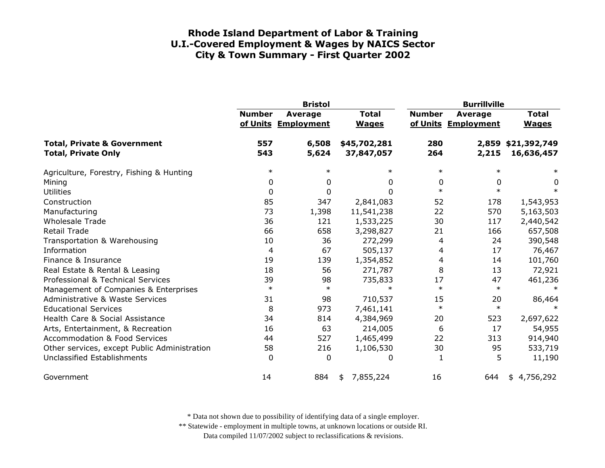|                                                                      | <b>Bristol</b> |                                |                              | <b>Burrillville</b> |                                       |                                  |  |
|----------------------------------------------------------------------|----------------|--------------------------------|------------------------------|---------------------|---------------------------------------|----------------------------------|--|
|                                                                      | <b>Number</b>  | Average<br>of Units Employment | <b>Total</b><br><b>Wages</b> | <b>Number</b>       | <b>Average</b><br>of Units Employment | <b>Total</b><br><b>Wages</b>     |  |
| <b>Total, Private &amp; Government</b><br><b>Total, Private Only</b> | 557<br>543     | 6,508<br>5,624                 | \$45,702,281<br>37,847,057   | 280<br>264          | 2,215                                 | 2,859 \$21,392,749<br>16,636,457 |  |
| Agriculture, Forestry, Fishing & Hunting                             | $\ast$         | $\ast$                         | $\ast$                       | $\ast$              | $\ast$                                | $\ast$                           |  |
| Mining                                                               | 0              | 0                              | 0                            | 0                   | 0                                     | 0                                |  |
| <b>Utilities</b>                                                     | 0              | 0                              | $\mathbf{0}$                 | $\ast$              | $\ast$                                | $\ast$                           |  |
| Construction                                                         | 85             | 347                            | 2,841,083                    | 52                  | 178                                   | 1,543,953                        |  |
| Manufacturing                                                        | 73             | 1,398                          | 11,541,238                   | 22                  | 570                                   | 5,163,503                        |  |
| <b>Wholesale Trade</b>                                               | 36             | 121                            | 1,533,225                    | 30                  | 117                                   | 2,440,542                        |  |
| <b>Retail Trade</b>                                                  | 66             | 658                            | 3,298,827                    | 21                  | 166                                   | 657,508                          |  |
| Transportation & Warehousing                                         | 10             | 36                             | 272,299                      | 4                   | 24                                    | 390,548                          |  |
| Information                                                          | 4              | 67                             | 505,137                      | 4                   | 17                                    | 76,467                           |  |
| Finance & Insurance                                                  | 19             | 139                            | 1,354,852                    | 4                   | 14                                    | 101,760                          |  |
| Real Estate & Rental & Leasing                                       | 18             | 56                             | 271,787                      | 8                   | 13                                    | 72,921                           |  |
| Professional & Technical Services                                    | 39             | 98                             | 735,833                      | 17                  | 47                                    | 461,236                          |  |
| Management of Companies & Enterprises                                | $\ast$         | $\ast$                         | $\ast$                       | $\ast$              | $\ast$                                | $\ast$                           |  |
| <b>Administrative &amp; Waste Services</b>                           | 31             | 98                             | 710,537                      | 15                  | 20                                    | 86,464                           |  |
| <b>Educational Services</b>                                          | 8              | 973                            | 7,461,141                    | $\ast$              | $\ast$                                |                                  |  |
| Health Care & Social Assistance                                      | 34             | 814                            | 4,384,969                    | 20                  | 523                                   | 2,697,622                        |  |
| Arts, Entertainment, & Recreation                                    | 16             | 63                             | 214,005                      | 6                   | 17                                    | 54,955                           |  |
| <b>Accommodation &amp; Food Services</b>                             | 44             | 527                            | 1,465,499                    | 22                  | 313                                   | 914,940                          |  |
| Other services, except Public Administration                         | 58             | 216                            | 1,106,530                    | 30                  | 95                                    | 533,719                          |  |
| Unclassified Establishments                                          | $\Omega$       | 0                              | 0                            | 1                   | 5                                     | 11,190                           |  |
| Government                                                           | 14             | 884                            | 7,855,224<br>\$              | 16                  | 644                                   | 4,756,292<br>\$                  |  |

\* Data not shown due to possibility of identifying data of a single employer.

\*\* Statewide - employment in multiple towns, at unknown locations or outside RI.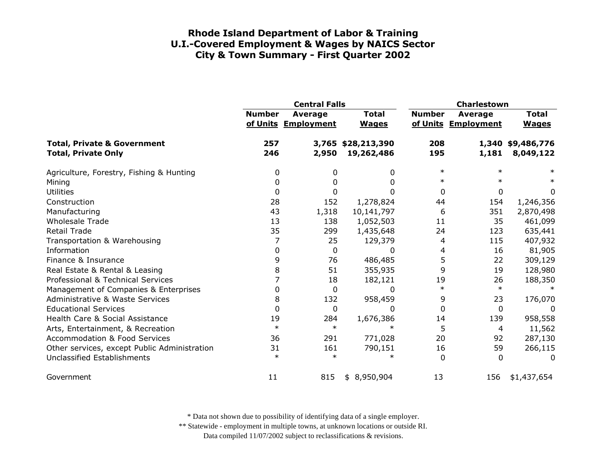|                                                                      |               | <b>Central Falls</b>           |                                  | Charlestown   |                                       |                                |
|----------------------------------------------------------------------|---------------|--------------------------------|----------------------------------|---------------|---------------------------------------|--------------------------------|
|                                                                      | <b>Number</b> | Average<br>of Units Employment | <b>Total</b><br><b>Wages</b>     | <b>Number</b> | <b>Average</b><br>of Units Employment | <b>Total</b><br><b>Wages</b>   |
| <b>Total, Private &amp; Government</b><br><b>Total, Private Only</b> | 257<br>246    | 2,950                          | 3,765 \$28,213,390<br>19,262,486 | 208<br>195    | 1,181                                 | 1,340 \$9,486,776<br>8,049,122 |
| Agriculture, Forestry, Fishing & Hunting                             | 0             | 0                              | 0                                | $\ast$        | $\ast$                                | $\ast$                         |
| Mining                                                               | 0             | 0                              | 0                                | $\ast$        | $\ast$                                | $\ast$                         |
| <b>Utilities</b>                                                     | 0             | 0                              |                                  | 0             | 0                                     | 0                              |
| Construction                                                         | 28            | 152                            | 1,278,824                        | 44            | 154                                   | 1,246,356                      |
| Manufacturing                                                        | 43            | 1,318                          | 10,141,797                       | 6             | 351                                   | 2,870,498                      |
| <b>Wholesale Trade</b>                                               | 13            | 138                            | 1,052,503                        | 11            | 35                                    | 461,099                        |
| Retail Trade                                                         | 35            | 299                            | 1,435,648                        | 24            | 123                                   | 635,441                        |
| Transportation & Warehousing                                         | 7             | 25                             | 129,379                          | 4             | 115                                   | 407,932                        |
| Information                                                          | 0             | 0                              | <sup>0</sup>                     | 4             | 16                                    | 81,905                         |
| Finance & Insurance                                                  | 9             | 76                             | 486,485                          | 5             | 22                                    | 309,129                        |
| Real Estate & Rental & Leasing                                       | 8             | 51                             | 355,935                          | 9             | 19                                    | 128,980                        |
| Professional & Technical Services                                    |               | 18                             | 182,121                          | 19            | 26                                    | 188,350                        |
| Management of Companies & Enterprises                                | 0             | 0                              | $\Omega$                         | $\ast$        | $\ast$                                | $\ast$                         |
| Administrative & Waste Services                                      | 8             | 132                            | 958,459                          | 9             | 23                                    | 176,070                        |
| <b>Educational Services</b>                                          | $\mathbf{0}$  | $\mathbf 0$                    | $\Omega$                         | 0             | 0                                     | 0                              |
| Health Care & Social Assistance                                      | 19            | 284                            | 1,676,386                        | 14            | 139                                   | 958,558                        |
| Arts, Entertainment, & Recreation                                    | $\ast$        | $\ast$                         | $\ast$                           | 5             | 4                                     | 11,562                         |
| <b>Accommodation &amp; Food Services</b>                             | 36            | 291                            | 771,028                          | 20            | 92                                    | 287,130                        |
| Other services, except Public Administration                         | 31            | 161                            | 790,151                          | 16            | 59                                    | 266,115                        |
| Unclassified Establishments                                          | $\ast$        | $\ast$                         | $^\ast$                          | 0             | $\Omega$                              | $\Omega$                       |
| Government                                                           | 11            | 815                            | \$8,950,904                      | 13            | 156                                   | \$1,437,654                    |

\* Data not shown due to possibility of identifying data of a single employer.

\*\* Statewide - employment in multiple towns, at unknown locations or outside RI.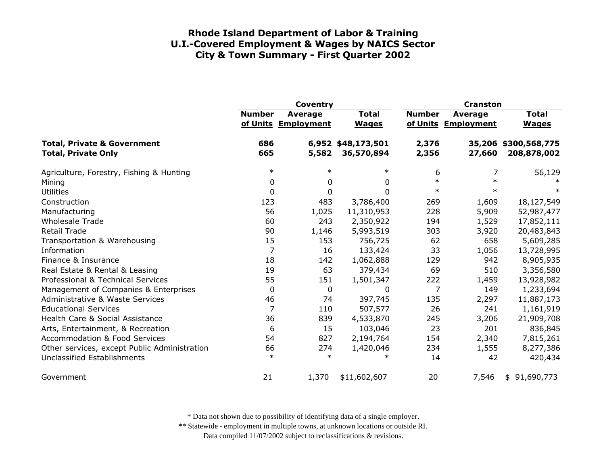|                                                                      | Coventry      |                                |                                  | <b>Cranston</b> |                                |                                     |
|----------------------------------------------------------------------|---------------|--------------------------------|----------------------------------|-----------------|--------------------------------|-------------------------------------|
|                                                                      | <b>Number</b> | Average<br>of Units Employment | <b>Total</b><br><b>Wages</b>     | <b>Number</b>   | Average<br>of Units Employment | <b>Total</b><br><b>Wages</b>        |
| <b>Total, Private &amp; Government</b><br><b>Total, Private Only</b> | 686<br>665    | 5,582                          | 6,952 \$48,173,501<br>36,570,894 | 2,376<br>2,356  | 27,660                         | 35,206 \$300,568,775<br>208,878,002 |
| Agriculture, Forestry, Fishing & Hunting                             | $\ast$        | $\ast$                         | $\ast$                           | 6               | 7                              | 56,129                              |
| Mining                                                               | 0             | 0                              | 0                                | $\ast$          | $\ast$                         |                                     |
| <b>Utilities</b>                                                     | 0             | 0                              | $\Omega$                         | $\ast$          | $\ast$                         | $\ast$                              |
| Construction                                                         | 123           | 483                            | 3,786,400                        | 269             | 1,609                          | 18,127,549                          |
| Manufacturing                                                        | 56            | 1,025                          | 11,310,953                       | 228             | 5,909                          | 52,987,477                          |
| <b>Wholesale Trade</b>                                               | 60            | 243                            | 2,350,922                        | 194             | 1,529                          | 17,852,111                          |
| <b>Retail Trade</b>                                                  | 90            | 1,146                          | 5,993,519                        | 303             | 3,920                          | 20,483,843                          |
| Transportation & Warehousing                                         | 15            | 153                            | 756,725                          | 62              | 658                            | 5,609,285                           |
| Information                                                          | 7             | 16                             | 133,424                          | 33              | 1,056                          | 13,728,995                          |
| Finance & Insurance                                                  | 18            | 142                            | 1,062,888                        | 129             | 942                            | 8,905,935                           |
| Real Estate & Rental & Leasing                                       | 19            | 63                             | 379,434                          | 69              | 510                            | 3,356,580                           |
| Professional & Technical Services                                    | 55            | 151                            | 1,501,347                        | 222             | 1,459                          | 13,928,982                          |
| Management of Companies & Enterprises                                | 0             | 0                              | 0                                | $\overline{7}$  | 149                            | 1,233,694                           |
| <b>Administrative &amp; Waste Services</b>                           | 46            | 74                             | 397,745                          | 135             | 2,297                          | 11,887,173                          |
| <b>Educational Services</b>                                          | 7             | 110                            | 507,577                          | 26              | 241                            | 1,161,919                           |
| Health Care & Social Assistance                                      | 36            | 839                            | 4,533,870                        | 245             | 3,206                          | 21,909,708                          |
| Arts, Entertainment, & Recreation                                    | 6             | 15                             | 103,046                          | 23              | 201                            | 836,845                             |
| <b>Accommodation &amp; Food Services</b>                             | 54            | 827                            | 2,194,764                        | 154             | 2,340                          | 7,815,261                           |
| Other services, except Public Administration                         | 66            | 274                            | 1,420,046                        | 234             | 1,555                          | 8,277,386                           |
| Unclassified Establishments                                          | $\ast$        | $\ast$                         | $\ast$                           | 14              | 42                             | 420,434                             |
| Government                                                           | 21            | 1,370                          | \$11,602,607                     | 20              | 7,546                          | \$91,690,773                        |

\* Data not shown due to possibility of identifying data of a single employer.

\*\* Statewide - employment in multiple towns, at unknown locations or outside RI.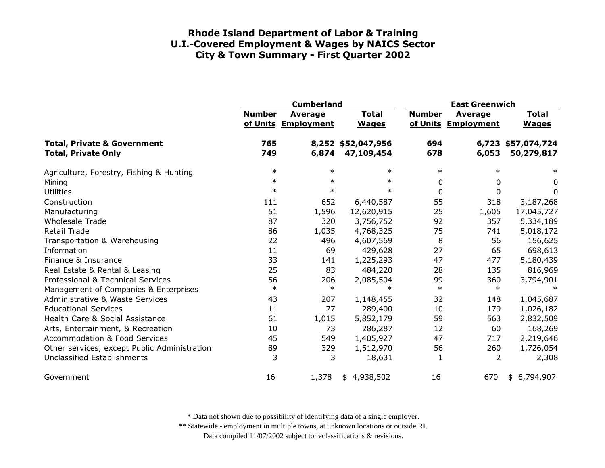|                                                                      | <b>Cumberland</b> |                                       |                                  | <b>East Greenwich</b> |                                |                                  |
|----------------------------------------------------------------------|-------------------|---------------------------------------|----------------------------------|-----------------------|--------------------------------|----------------------------------|
|                                                                      | <b>Number</b>     | <b>Average</b><br>of Units Employment | <b>Total</b><br><b>Wages</b>     | <b>Number</b>         | Average<br>of Units Employment | <b>Total</b><br><b>Wages</b>     |
| <b>Total, Private &amp; Government</b><br><b>Total, Private Only</b> | 765<br>749        | 6,874                                 | 8,252 \$52,047,956<br>47,109,454 | 694<br>678            | 6,053                          | 6,723 \$57,074,724<br>50,279,817 |
| Agriculture, Forestry, Fishing & Hunting                             | $\ast$            | $\ast$                                | $\ast$                           | $\ast$                | $\ast$                         | $\ast$                           |
| Mining                                                               | $\ast$            | $\ast$                                | $\ast$                           | 0                     | 0                              | 0                                |
| <b>Utilities</b>                                                     | $\ast$            | $\ast$                                | $\ast$                           | 0                     | $\Omega$                       | 0                                |
| Construction                                                         | 111               | 652                                   | 6,440,587                        | 55                    | 318                            | 3,187,268                        |
| Manufacturing                                                        | 51                | 1,596                                 | 12,620,915                       | 25                    | 1,605                          | 17,045,727                       |
| <b>Wholesale Trade</b>                                               | 87                | 320                                   | 3,756,752                        | 92                    | 357                            | 5,334,189                        |
| <b>Retail Trade</b>                                                  | 86                | 1,035                                 | 4,768,325                        | 75                    | 741                            | 5,018,172                        |
| Transportation & Warehousing                                         | 22                | 496                                   | 4,607,569                        | 8                     | 56                             | 156,625                          |
| Information                                                          | 11                | 69                                    | 429,628                          | 27                    | 65                             | 698,613                          |
| Finance & Insurance                                                  | 33                | 141                                   | 1,225,293                        | 47                    | 477                            | 5,180,439                        |
| Real Estate & Rental & Leasing                                       | 25                | 83                                    | 484,220                          | 28                    | 135                            | 816,969                          |
| Professional & Technical Services                                    | 56                | 206                                   | 2,085,504                        | 99                    | 360                            | 3,794,901                        |
| Management of Companies & Enterprises                                | $\ast$            | $\ast$                                | $\ast$                           | $\ast$                | $\ast$                         | ∗                                |
| <b>Administrative &amp; Waste Services</b>                           | 43                | 207                                   | 1,148,455                        | 32                    | 148                            | 1,045,687                        |
| <b>Educational Services</b>                                          | 11                | 77                                    | 289,400                          | 10                    | 179                            | 1,026,182                        |
| Health Care & Social Assistance                                      | 61                | 1,015                                 | 5,852,179                        | 59                    | 563                            | 2,832,509                        |
| Arts, Entertainment, & Recreation                                    | 10                | 73                                    | 286,287                          | 12                    | 60                             | 168,269                          |
| <b>Accommodation &amp; Food Services</b>                             | 45                | 549                                   | 1,405,927                        | 47                    | 717                            | 2,219,646                        |
| Other services, except Public Administration                         | 89                | 329                                   | 1,512,970                        | 56                    | 260                            | 1,726,054                        |
| Unclassified Establishments                                          | 3                 | 3                                     | 18,631                           | $\mathbf{1}$          | 2                              | 2,308                            |
| Government                                                           | 16                | 1,378                                 | \$4,938,502                      | 16                    | 670                            | \$6,794,907                      |

\* Data not shown due to possibility of identifying data of a single employer.

\*\* Statewide - employment in multiple towns, at unknown locations or outside RI.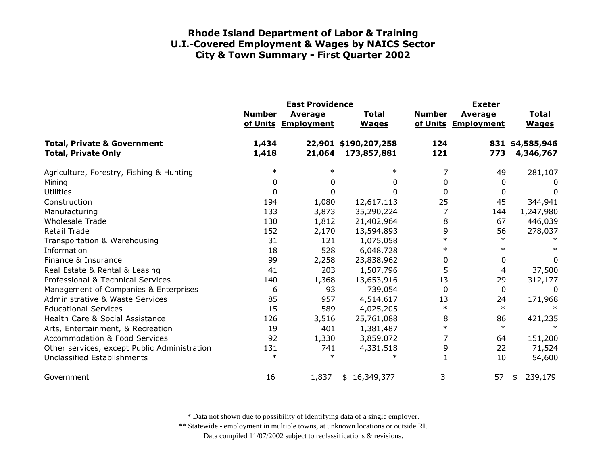|                                                                      | <b>East Providence</b> |                                |                                     | <b>Exeter</b> |                                       |                              |
|----------------------------------------------------------------------|------------------------|--------------------------------|-------------------------------------|---------------|---------------------------------------|------------------------------|
|                                                                      | <b>Number</b>          | Average<br>of Units Employment | <b>Total</b><br><b>Wages</b>        | <b>Number</b> | <b>Average</b><br>of Units Employment | <b>Total</b><br><b>Wages</b> |
| <b>Total, Private &amp; Government</b><br><b>Total, Private Only</b> | 1,434<br>1,418         | 21,064                         | 22,901 \$190,207,258<br>173,857,881 | 124<br>121    | 773                                   | 831 \$4,585,946<br>4,346,767 |
| Agriculture, Forestry, Fishing & Hunting                             | $\ast$                 | $\ast$                         | $\ast$                              | 7             | 49                                    | 281,107                      |
| Mining                                                               | 0                      | 0                              | 0                                   | 0             | 0                                     | 0                            |
| <b>Utilities</b>                                                     | 0                      | 0                              |                                     | 0             | 0                                     | $\Omega$                     |
| Construction                                                         | 194                    | 1,080                          | 12,617,113                          | 25            | 45                                    | 344,941                      |
| Manufacturing                                                        | 133                    | 3,873                          | 35,290,224                          | 7             | 144                                   | 1,247,980                    |
| <b>Wholesale Trade</b>                                               | 130                    | 1,812                          | 21,402,964                          | 8             | 67                                    | 446,039                      |
| <b>Retail Trade</b>                                                  | 152                    | 2,170                          | 13,594,893                          | 9             | 56                                    | 278,037                      |
| Transportation & Warehousing                                         | 31                     | 121                            | 1,075,058                           | $\ast$        | $\ast$                                |                              |
| Information                                                          | 18                     | 528                            | 6,048,728                           | $\ast$        | $\ast$                                |                              |
| Finance & Insurance                                                  | 99                     | 2,258                          | 23,838,962                          | 0             | 0                                     | 0                            |
| Real Estate & Rental & Leasing                                       | 41                     | 203                            | 1,507,796                           | 5             | 4                                     | 37,500                       |
| Professional & Technical Services                                    | 140                    | 1,368                          | 13,653,916                          | 13            | 29                                    | 312,177                      |
| Management of Companies & Enterprises                                | 6                      | 93                             | 739,054                             | 0             | $\mathbf{0}$                          | $\Omega$                     |
| <b>Administrative &amp; Waste Services</b>                           | 85                     | 957                            | 4,514,617                           | 13            | 24                                    | 171,968                      |
| <b>Educational Services</b>                                          | 15                     | 589                            | 4,025,205                           | $\ast$        | $\ast$                                |                              |
| Health Care & Social Assistance                                      | 126                    | 3,516                          | 25,761,088                          | 8             | 86                                    | 421,235                      |
| Arts, Entertainment, & Recreation                                    | 19                     | 401                            | 1,381,487                           | $\ast$        | $\ast$                                |                              |
| <b>Accommodation &amp; Food Services</b>                             | 92                     | 1,330                          | 3,859,072                           | 7             | 64                                    | 151,200                      |
| Other services, except Public Administration                         | 131                    | 741                            | 4,331,518                           | 9             | 22                                    | 71,524                       |
| Unclassified Establishments                                          | $\ast$                 | $\ast$                         | $\ast$                              | $\mathbf{1}$  | 10                                    | 54,600                       |
| Government                                                           | 16                     | 1,837                          | \$16,349,377                        | 3             | 57                                    | 239,179<br>\$                |

\* Data not shown due to possibility of identifying data of a single employer.

\*\* Statewide - employment in multiple towns, at unknown locations or outside RI.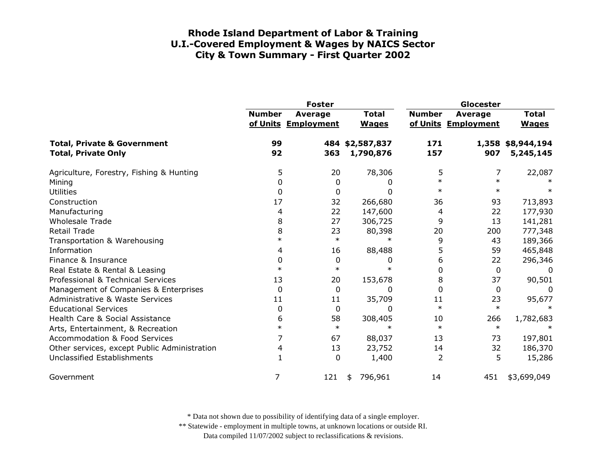|                                                                      |               | <b>Foster</b>                         |                              | Glocester      |                                       |                                |
|----------------------------------------------------------------------|---------------|---------------------------------------|------------------------------|----------------|---------------------------------------|--------------------------------|
|                                                                      | <b>Number</b> | <b>Average</b><br>of Units Employment | <b>Total</b><br><b>Wages</b> | <b>Number</b>  | <b>Average</b><br>of Units Employment | <b>Total</b><br><b>Wages</b>   |
| <b>Total, Private &amp; Government</b><br><b>Total, Private Only</b> | 99<br>92      | 363                                   | 484 \$2,587,837<br>1,790,876 | 171<br>157     | 907                                   | 1,358 \$8,944,194<br>5,245,145 |
| Agriculture, Forestry, Fishing & Hunting                             | 5             | 20                                    | 78,306                       | 5              | 7                                     | 22,087                         |
| Mining                                                               | 0             | 0                                     | O                            | $\ast$         | $\ast$                                |                                |
| <b>Utilities</b>                                                     | 0             | 0                                     | 0                            | $\ast$         | $\ast$                                |                                |
| Construction                                                         | 17            | 32                                    | 266,680                      | 36             | 93                                    | 713,893                        |
| Manufacturing                                                        | 4             | 22                                    | 147,600                      | 4              | 22                                    | 177,930                        |
| <b>Wholesale Trade</b>                                               | 8             | 27                                    | 306,725                      | 9              | 13                                    | 141,281                        |
| <b>Retail Trade</b>                                                  | 8             | 23                                    | 80,398                       | 20             | 200                                   | 777,348                        |
| Transportation & Warehousing                                         | $\ast$        | $\ast$                                | $\ast$                       | 9              | 43                                    | 189,366                        |
| Information                                                          | 4             | 16                                    | 88,488                       | 5              | 59                                    | 465,848                        |
| Finance & Insurance                                                  | 0             | 0                                     | 0                            | 6              | 22                                    | 296,346                        |
| Real Estate & Rental & Leasing                                       | $\ast$        | $\ast$                                |                              | $\mathbf{0}$   | 0                                     | 0                              |
| Professional & Technical Services                                    | 13            | 20                                    | 153,678                      | 8              | 37                                    | 90,501                         |
| Management of Companies & Enterprises                                | 0             | 0                                     | 0                            | $\Omega$       | 0                                     | $\Omega$                       |
| <b>Administrative &amp; Waste Services</b>                           | 11            | 11                                    | 35,709                       | 11             | 23                                    | 95,677                         |
| <b>Educational Services</b>                                          | 0             | 0                                     | 0                            | $\ast$         | $\ast$                                |                                |
| Health Care & Social Assistance                                      | 6             | 58                                    | 308,405                      | 10             | 266                                   | 1,782,683                      |
| Arts, Entertainment, & Recreation                                    | $\ast$        | $\ast$                                | $\ast$                       | $\ast$         | $\ast$                                |                                |
| <b>Accommodation &amp; Food Services</b>                             | 7             | 67                                    | 88,037                       | 13             | 73                                    | 197,801                        |
| Other services, except Public Administration                         | 4             | 13                                    | 23,752                       | 14             | 32                                    | 186,370                        |
| Unclassified Establishments                                          |               | 0                                     | 1,400                        | $\overline{2}$ | 5                                     | 15,286                         |
| Government                                                           | 7             | 121                                   | 796,961<br>\$                | 14             | 451                                   | \$3,699,049                    |

\* Data not shown due to possibility of identifying data of a single employer.

\*\* Statewide - employment in multiple towns, at unknown locations or outside RI.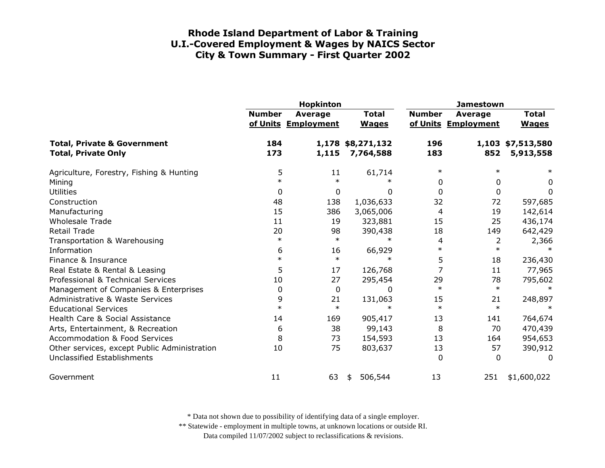|                                                                      |               | Hopkinton                      |                                | <b>Jamestown</b> |                                       |                                |
|----------------------------------------------------------------------|---------------|--------------------------------|--------------------------------|------------------|---------------------------------------|--------------------------------|
|                                                                      | <b>Number</b> | Average<br>of Units Employment | <b>Total</b><br><b>Wages</b>   | <b>Number</b>    | <b>Average</b><br>of Units Employment | <b>Total</b><br><b>Wages</b>   |
| <b>Total, Private &amp; Government</b><br><b>Total, Private Only</b> | 184<br>173    | 1,115                          | 1,178 \$8,271,132<br>7,764,588 | 196<br>183       | 852                                   | 1,103 \$7,513,580<br>5,913,558 |
| Agriculture, Forestry, Fishing & Hunting                             | 5             | 11                             | 61,714                         | $\ast$           | $\ast$                                | $\ast$                         |
| Mining                                                               | $\ast$        | $\ast$                         | $\ast$                         | 0                | 0                                     | 0                              |
| <b>Utilities</b>                                                     | 0             | $\mathbf{0}$                   | 0                              | $\Omega$         | $\mathbf 0$                           | 0                              |
| Construction                                                         | 48            | 138                            | 1,036,633                      | 32               | 72                                    | 597,685                        |
| Manufacturing                                                        | 15            | 386                            | 3,065,006                      | 4                | 19                                    | 142,614                        |
| <b>Wholesale Trade</b>                                               | 11            | 19                             | 323,881                        | 15               | 25                                    | 436,174                        |
| <b>Retail Trade</b>                                                  | 20            | 98                             | 390,438                        | 18               | 149                                   | 642,429                        |
| Transportation & Warehousing                                         | $\ast$        | $\ast$                         | $\ast$                         | 4                | $\overline{2}$                        | 2,366                          |
| Information                                                          | 6             | 16                             | 66,929                         | $\ast$           | $\ast$                                | $\ast$                         |
| Finance & Insurance                                                  | $\ast$        | $\ast$                         | $\ast$                         | 5                | 18                                    | 236,430                        |
| Real Estate & Rental & Leasing                                       | 5             | 17                             | 126,768                        | 7                | 11                                    | 77,965                         |
| Professional & Technical Services                                    | 10            | 27                             | 295,454                        | 29               | 78                                    | 795,602                        |
| Management of Companies & Enterprises                                | 0             | 0                              | $\Omega$                       | $\ast$           | $\ast$                                | $\ast$                         |
| Administrative & Waste Services                                      | 9             | 21                             | 131,063                        | 15               | 21                                    | 248,897                        |
| <b>Educational Services</b>                                          | $\ast$        | $\ast$                         | $\ast$                         | $\ast$           | $\ast$                                | $\ast$                         |
| Health Care & Social Assistance                                      | 14            | 169                            | 905,417                        | 13               | 141                                   | 764,674                        |
| Arts, Entertainment, & Recreation                                    | 6             | 38                             | 99,143                         | 8                | 70                                    | 470,439                        |
| <b>Accommodation &amp; Food Services</b>                             | 8             | 73                             | 154,593                        | 13               | 164                                   | 954,653                        |
| Other services, except Public Administration                         | 10            | 75                             | 803,637                        | 13               | 57                                    | 390,912                        |
| Unclassified Establishments                                          |               |                                |                                | $\Omega$         | 0                                     | $\Omega$                       |
| Government                                                           | 11            | 63                             | 506,544<br>\$                  | 13               | 251                                   | \$1,600,022                    |

\* Data not shown due to possibility of identifying data of a single employer.

\*\* Statewide - employment in multiple towns, at unknown locations or outside RI.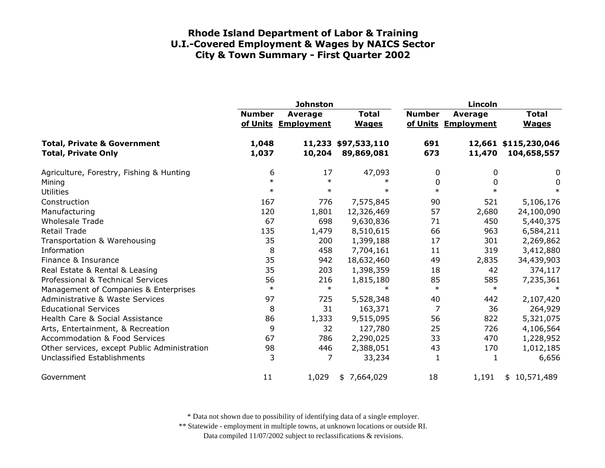|                                                                      | <b>Johnston</b> |                                |                                   |               | <b>Lincoln</b>                 |                                     |  |  |
|----------------------------------------------------------------------|-----------------|--------------------------------|-----------------------------------|---------------|--------------------------------|-------------------------------------|--|--|
|                                                                      | <b>Number</b>   | Average<br>of Units Employment | <b>Total</b><br><b>Wages</b>      | <b>Number</b> | Average<br>of Units Employment | <b>Total</b><br><b>Wages</b>        |  |  |
| <b>Total, Private &amp; Government</b><br><b>Total, Private Only</b> | 1,048<br>1,037  | 10,204                         | 11,233 \$97,533,110<br>89,869,081 | 691<br>673    | 11,470                         | 12,661 \$115,230,046<br>104,658,557 |  |  |
| Agriculture, Forestry, Fishing & Hunting                             | 6               | 17                             | 47,093                            | 0             | 0                              | $\boldsymbol{0}$                    |  |  |
| Mining                                                               | $\ast$          | $\ast$                         | $\ast$                            | $\mathbf{0}$  | $\Omega$                       | $\pmb{0}$                           |  |  |
| <b>Utilities</b>                                                     | $\ast$          | $\ast$                         | $\ast$                            | $\ast$        | $\ast$                         | $\ast$                              |  |  |
| Construction                                                         | 167             | 776                            | 7,575,845                         | 90            | 521                            | 5,106,176                           |  |  |
| Manufacturing                                                        | 120             | 1,801                          | 12,326,469                        | 57            | 2,680                          | 24,100,090                          |  |  |
| <b>Wholesale Trade</b>                                               | 67              | 698                            | 9,630,836                         | 71            | 450                            | 5,440,375                           |  |  |
| <b>Retail Trade</b>                                                  | 135             | 1,479                          | 8,510,615                         | 66            | 963                            | 6,584,211                           |  |  |
| Transportation & Warehousing                                         | 35              | 200                            | 1,399,188                         | 17            | 301                            | 2,269,862                           |  |  |
| Information                                                          | 8               | 458                            | 7,704,161                         | 11            | 319                            | 3,412,880                           |  |  |
| Finance & Insurance                                                  | 35              | 942                            | 18,632,460                        | 49            | 2,835                          | 34,439,903                          |  |  |
| Real Estate & Rental & Leasing                                       | 35              | 203                            | 1,398,359                         | 18            | 42                             | 374,117                             |  |  |
| Professional & Technical Services                                    | 56              | 216                            | 1,815,180                         | 85            | 585                            | 7,235,361                           |  |  |
| Management of Companies & Enterprises                                | $\ast$          | $\ast$                         | $\ast$                            | $\ast$        | $\ast$                         | $\ast$                              |  |  |
| <b>Administrative &amp; Waste Services</b>                           | 97              | 725                            | 5,528,348                         | 40            | 442                            | 2,107,420                           |  |  |
| <b>Educational Services</b>                                          | 8               | 31                             | 163,371                           | 7             | 36                             | 264,929                             |  |  |
| Health Care & Social Assistance                                      | 86              | 1,333                          | 9,515,095                         | 56            | 822                            | 5,321,075                           |  |  |
| Arts, Entertainment, & Recreation                                    | 9               | 32                             | 127,780                           | 25            | 726                            | 4,106,564                           |  |  |
| <b>Accommodation &amp; Food Services</b>                             | 67              | 786                            | 2,290,025                         | 33            | 470                            | 1,228,952                           |  |  |
| Other services, except Public Administration                         | 98              | 446                            | 2,388,051                         | 43            | 170                            | 1,012,185                           |  |  |
| <b>Unclassified Establishments</b>                                   | 3               | 7                              | 33,234                            | 1             | 1                              | 6,656                               |  |  |
| Government                                                           | 11              | 1,029                          | \$7,664,029                       | 18            | 1,191                          | \$10,571,489                        |  |  |

\* Data not shown due to possibility of identifying data of a single employer.

\*\* Statewide - employment in multiple towns, at unknown locations or outside RI.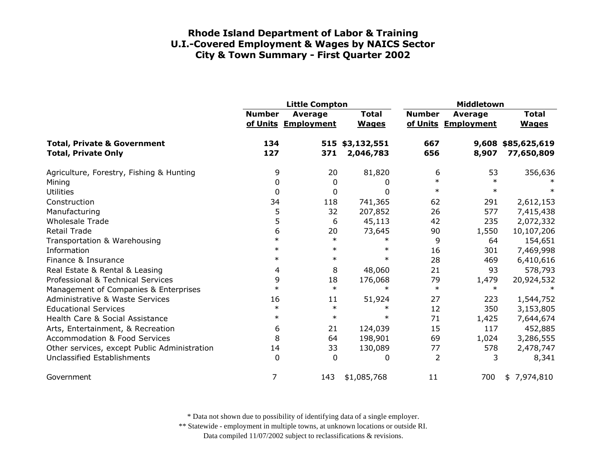|                                                                      | <b>Little Compton</b> |                                |                              | Middletown    |                                |                              |
|----------------------------------------------------------------------|-----------------------|--------------------------------|------------------------------|---------------|--------------------------------|------------------------------|
|                                                                      | <b>Number</b>         | Average<br>of Units Employment | <b>Total</b><br><b>Wages</b> | <b>Number</b> | Average<br>of Units Employment | <b>Total</b><br><b>Wages</b> |
| <b>Total, Private &amp; Government</b><br><b>Total, Private Only</b> | 134<br>127            | 371                            | 515 \$3,132,551<br>2,046,783 | 667<br>656    | 9,608<br>8,907                 | \$85,625,619<br>77,650,809   |
| Agriculture, Forestry, Fishing & Hunting                             | 9                     | 20                             | 81,820                       | 6             | 53                             | 356,636                      |
| Mining                                                               | 0                     | 0                              | 0                            | $\ast$        | $\ast$                         |                              |
| <b>Utilities</b>                                                     | 0                     | $\mathbf 0$                    | 0                            | $\ast$        | $\ast$                         | $\ast$                       |
| Construction                                                         | 34                    | 118                            | 741,365                      | 62            | 291                            | 2,612,153                    |
| Manufacturing                                                        | 5                     | 32                             | 207,852                      | 26            | 577                            | 7,415,438                    |
| <b>Wholesale Trade</b>                                               | 5                     | 6                              | 45,113                       | 42            | 235                            | 2,072,332                    |
| Retail Trade                                                         | 6                     | 20                             | 73,645                       | 90            | 1,550                          | 10,107,206                   |
| Transportation & Warehousing                                         | $\ast$                | $\ast$                         | $\ast$                       | 9             | 64                             | 154,651                      |
| Information                                                          | $\ast$                | $\ast$                         | $\ast$                       | 16            | 301                            | 7,469,998                    |
| Finance & Insurance                                                  | $\ast$                | $\ast$                         | $\ast$                       | 28            | 469                            | 6,410,616                    |
| Real Estate & Rental & Leasing                                       | 4                     | 8                              | 48,060                       | 21            | 93                             | 578,793                      |
| Professional & Technical Services                                    | 9                     | 18                             | 176,068                      | 79            | 1,479                          | 20,924,532                   |
| Management of Companies & Enterprises                                | $\ast$                | $\ast$                         | $\ast$                       | $\ast$        | $\ast$                         | $\ast$                       |
| Administrative & Waste Services                                      | 16                    | 11                             | 51,924                       | 27            | 223                            | 1,544,752                    |
| <b>Educational Services</b>                                          | $\ast$                | $\ast$                         | $\ast$                       | 12            | 350                            | 3,153,805                    |
| Health Care & Social Assistance                                      | $\ast$                | $\ast$                         | $\ast$                       | 71            | 1,425                          | 7,644,674                    |
| Arts, Entertainment, & Recreation                                    | 6                     | 21                             | 124,039                      | 15            | 117                            | 452,885                      |
| <b>Accommodation &amp; Food Services</b>                             | 8                     | 64                             | 198,901                      | 69            | 1,024                          | 3,286,555                    |
| Other services, except Public Administration                         | 14                    | 33                             | 130,089                      | 77            | 578                            | 2,478,747                    |
| <b>Unclassified Establishments</b>                                   | $\Omega$              | $\Omega$                       | 0                            | 2             | 3                              | 8,341                        |
| Government                                                           | 7                     | 143                            | \$1,085,768                  | 11            | 700                            | \$7,974,810                  |

\* Data not shown due to possibility of identifying data of a single employer.

\*\* Statewide - employment in multiple towns, at unknown locations or outside RI.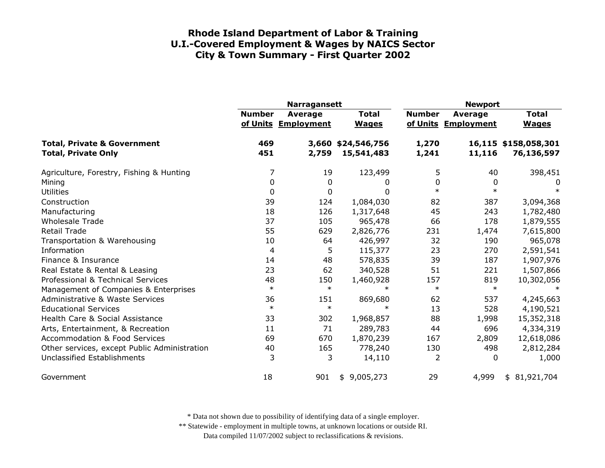|                                                                      | <b>Narragansett</b> |                                |                                  | <b>Newport</b> |                                |                                    |
|----------------------------------------------------------------------|---------------------|--------------------------------|----------------------------------|----------------|--------------------------------|------------------------------------|
|                                                                      | <b>Number</b>       | Average<br>of Units Employment | <b>Total</b><br><b>Wages</b>     | <b>Number</b>  | Average<br>of Units Employment | <b>Total</b><br><b>Wages</b>       |
| <b>Total, Private &amp; Government</b><br><b>Total, Private Only</b> | 469<br>451          | 2,759                          | 3,660 \$24,546,756<br>15,541,483 | 1,270<br>1,241 | 11,116                         | 16,115 \$158,058,301<br>76,136,597 |
| Agriculture, Forestry, Fishing & Hunting                             | 7                   | 19                             | 123,499                          | 5              | 40                             | 398,451                            |
| Mining                                                               | $\Omega$            | 0                              | 0                                | $\mathbf{0}$   | 0                              | 0                                  |
| <b>Utilities</b>                                                     | 0                   | $\mathbf 0$                    | <sup>0</sup>                     | $\ast$         | $\ast$                         | $\ast$                             |
| Construction                                                         | 39                  | 124                            | 1,084,030                        | 82             | 387                            | 3,094,368                          |
| Manufacturing                                                        | 18                  | 126                            | 1,317,648                        | 45             | 243                            | 1,782,480                          |
| <b>Wholesale Trade</b>                                               | 37                  | 105                            | 965,478                          | 66             | 178                            | 1,879,555                          |
| <b>Retail Trade</b>                                                  | 55                  | 629                            | 2,826,776                        | 231            | 1,474                          | 7,615,800                          |
| Transportation & Warehousing                                         | 10                  | 64                             | 426,997                          | 32             | 190                            | 965,078                            |
| Information                                                          | 4                   | 5                              | 115,377                          | 23             | 270                            | 2,591,541                          |
| Finance & Insurance                                                  | 14                  | 48                             | 578,835                          | 39             | 187                            | 1,907,976                          |
| Real Estate & Rental & Leasing                                       | 23                  | 62                             | 340,528                          | 51             | 221                            | 1,507,866                          |
| Professional & Technical Services                                    | 48                  | 150                            | 1,460,928                        | 157            | 819                            | 10,302,056                         |
| Management of Companies & Enterprises                                | $\ast$              | $\ast$                         | $\ast$                           | $\ast$         | $\ast$                         |                                    |
| Administrative & Waste Services                                      | 36                  | 151                            | 869,680                          | 62             | 537                            | 4,245,663                          |
| <b>Educational Services</b>                                          | $\ast$              | $\ast$                         | $\ast$                           | 13             | 528                            | 4,190,521                          |
| Health Care & Social Assistance                                      | 33                  | 302                            | 1,968,857                        | 88             | 1,998                          | 15,352,318                         |
| Arts, Entertainment, & Recreation                                    | 11                  | 71                             | 289,783                          | 44             | 696                            | 4,334,319                          |
| <b>Accommodation &amp; Food Services</b>                             | 69                  | 670                            | 1,870,239                        | 167            | 2,809                          | 12,618,086                         |
| Other services, except Public Administration                         | 40                  | 165                            | 778,240                          | 130            | 498                            | 2,812,284                          |
| <b>Unclassified Establishments</b>                                   | 3                   | 3                              | 14,110                           | $\overline{2}$ | 0                              | 1,000                              |
| Government                                                           | 18                  | 901                            | 9,005,273<br>\$                  | 29             | 4,999                          | \$81,921,704                       |

\* Data not shown due to possibility of identifying data of a single employer.

\*\* Statewide - employment in multiple towns, at unknown locations or outside RI.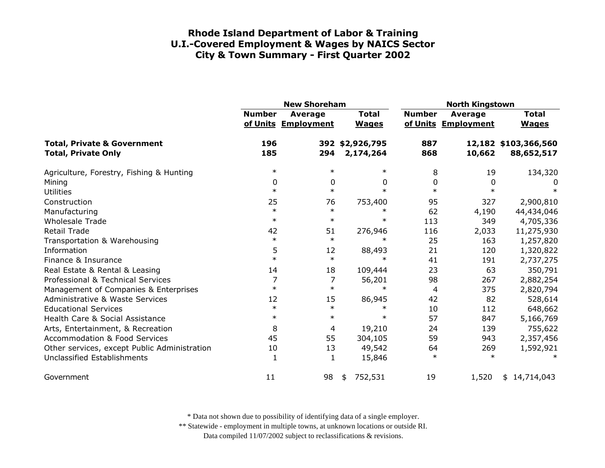|                                                                      | <b>New Shoreham</b> |                                       |                              | <b>North Kingstown</b> |                                |                                    |
|----------------------------------------------------------------------|---------------------|---------------------------------------|------------------------------|------------------------|--------------------------------|------------------------------------|
|                                                                      | <b>Number</b>       | <b>Average</b><br>of Units Employment | <b>Total</b><br><b>Wages</b> | <b>Number</b>          | Average<br>of Units Employment | <b>Total</b><br><b>Wages</b>       |
| <b>Total, Private &amp; Government</b><br><b>Total, Private Only</b> | 196<br>185          | 294                                   | 392 \$2,926,795<br>2,174,264 | 887<br>868             | 10,662                         | 12,182 \$103,366,560<br>88,652,517 |
| Agriculture, Forestry, Fishing & Hunting                             | $\ast$              | $\ast$                                | $\ast$                       | 8                      | 19                             | 134,320                            |
| Mining                                                               | 0                   | 0                                     | 0                            | 0                      | 0                              | 0                                  |
| <b>Utilities</b>                                                     | $\ast$              | $\ast$                                | $\ast$                       | $\ast$                 | $\ast$                         | $\ast$                             |
| Construction                                                         | 25                  | 76                                    | 753,400                      | 95                     | 327                            | 2,900,810                          |
| Manufacturing                                                        | $\ast$              | $\ast$                                | $\ast$                       | 62                     | 4,190                          | 44,434,046                         |
| <b>Wholesale Trade</b>                                               | $\ast$              | $\ast$                                | $\ast$                       | 113                    | 349                            | 4,705,336                          |
| <b>Retail Trade</b>                                                  | 42                  | 51                                    | 276,946                      | 116                    | 2,033                          | 11,275,930                         |
| Transportation & Warehousing                                         | $\ast$              | $\ast$                                | $\ast$                       | 25                     | 163                            | 1,257,820                          |
| Information                                                          | 5                   | 12                                    | 88,493                       | 21                     | 120                            | 1,320,822                          |
| Finance & Insurance                                                  | $\ast$              | $\ast$                                | $\ast$                       | 41                     | 191                            | 2,737,275                          |
| Real Estate & Rental & Leasing                                       | 14                  | 18                                    | 109,444                      | 23                     | 63                             | 350,791                            |
| Professional & Technical Services                                    | 7                   | 7                                     | 56,201                       | 98                     | 267                            | 2,882,254                          |
| Management of Companies & Enterprises                                | $\ast$              | $\ast$                                | $\ast$                       | 4                      | 375                            | 2,820,794                          |
| Administrative & Waste Services                                      | 12                  | 15                                    | 86,945                       | 42                     | 82                             | 528,614                            |
| <b>Educational Services</b>                                          | $\ast$              | $\ast$                                | $\ast$                       | 10                     | 112                            | 648,662                            |
| Health Care & Social Assistance                                      | $\ast$              | $\ast$                                | $\ast$                       | 57                     | 847                            | 5,166,769                          |
| Arts, Entertainment, & Recreation                                    | 8                   | 4                                     | 19,210                       | 24                     | 139                            | 755,622                            |
| <b>Accommodation &amp; Food Services</b>                             | 45                  | 55                                    | 304,105                      | 59                     | 943                            | 2,357,456                          |
| Other services, except Public Administration                         | 10                  | 13                                    | 49,542                       | 64                     | 269                            | 1,592,921                          |
| <b>Unclassified Establishments</b>                                   | 1                   | 1                                     | 15,846                       | $\ast$                 | $\ast$                         |                                    |
| Government                                                           | 11                  | 98                                    | 752,531<br>\$                | 19                     | 1,520                          | \$14,714,043                       |

\* Data not shown due to possibility of identifying data of a single employer.

\*\* Statewide - employment in multiple towns, at unknown locations or outside RI.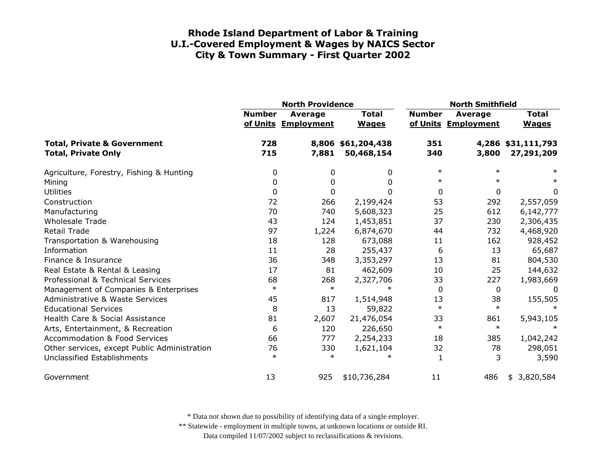|                                                                      | <b>North Providence</b> |                                       |                                  | <b>North Smithfield</b> |                                       |                                  |
|----------------------------------------------------------------------|-------------------------|---------------------------------------|----------------------------------|-------------------------|---------------------------------------|----------------------------------|
|                                                                      | <b>Number</b>           | <b>Average</b><br>of Units Employment | <b>Total</b><br><b>Wages</b>     | <b>Number</b>           | <b>Average</b><br>of Units Employment | <b>Total</b><br><b>Wages</b>     |
| <b>Total, Private &amp; Government</b><br><b>Total, Private Only</b> | 728<br>715              | 7,881                                 | 8,806 \$61,204,438<br>50,468,154 | 351<br>340              | 3,800                                 | 4,286 \$31,111,793<br>27,291,209 |
| Agriculture, Forestry, Fishing & Hunting                             | 0                       | 0                                     | 0                                | $\ast$                  | $\ast$                                | $\ast$                           |
| Mining                                                               | 0                       | 0                                     | 0                                | $\ast$                  |                                       | $\ast$                           |
| <b>Utilities</b>                                                     | 0                       | 0                                     | <sup>0</sup>                     | 0                       | 0                                     | 0                                |
| Construction                                                         | 72                      | 266                                   | 2,199,424                        | 53                      | 292                                   | 2,557,059                        |
| Manufacturing                                                        | 70                      | 740                                   | 5,608,323                        | 25                      | 612                                   | 6,142,777                        |
| <b>Wholesale Trade</b>                                               | 43                      | 124                                   | 1,453,851                        | 37                      | 230                                   | 2,306,435                        |
| <b>Retail Trade</b>                                                  | 97                      | 1,224                                 | 6,874,670                        | 44                      | 732                                   | 4,468,920                        |
| Transportation & Warehousing                                         | 18                      | 128                                   | 673,088                          | 11                      | 162                                   | 928,452                          |
| Information                                                          | 11                      | 28                                    | 255,437                          | 6                       | 13                                    | 65,687                           |
| Finance & Insurance                                                  | 36                      | 348                                   | 3,353,297                        | 13                      | 81                                    | 804,530                          |
| Real Estate & Rental & Leasing                                       | 17                      | 81                                    | 462,609                          | 10                      | 25                                    | 144,632                          |
| Professional & Technical Services                                    | 68                      | 268                                   | 2,327,706                        | 33                      | 227                                   | 1,983,669                        |
| Management of Companies & Enterprises                                | $\ast$                  | $\ast$                                | $\ast$                           | $\Omega$                | 0                                     | $\Omega$                         |
| Administrative & Waste Services                                      | 45                      | 817                                   | 1,514,948                        | 13                      | 38                                    | 155,505                          |
| <b>Educational Services</b>                                          | 8                       | 13                                    | 59,822                           | $\ast$                  | $\ast$                                |                                  |
| Health Care & Social Assistance                                      | 81                      | 2,607                                 | 21,476,054                       | 33                      | 861                                   | 5,943,105                        |
| Arts, Entertainment, & Recreation                                    | 6                       | 120                                   | 226,650                          | $\ast$                  | $\ast$                                |                                  |
| <b>Accommodation &amp; Food Services</b>                             | 66                      | 777                                   | 2,254,233                        | 18                      | 385                                   | 1,042,242                        |
| Other services, except Public Administration                         | 76                      | 330                                   | 1,621,104                        | 32                      | 78                                    | 298,051                          |
| Unclassified Establishments                                          | $\ast$                  | $\ast$                                | $\ast$                           | $\mathbf{1}$            | 3                                     | 3,590                            |
| Government                                                           | 13                      | 925                                   | \$10,736,284                     | 11                      | 486                                   | 3,820,584<br>\$                  |

\* Data not shown due to possibility of identifying data of a single employer.

\*\* Statewide - employment in multiple towns, at unknown locations or outside RI.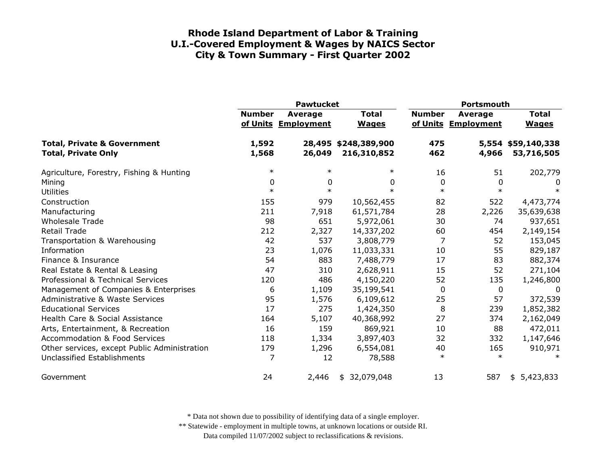|                                                                      | <b>Pawtucket</b> |                                |                                     | <b>Portsmouth</b> |                                       |                                  |
|----------------------------------------------------------------------|------------------|--------------------------------|-------------------------------------|-------------------|---------------------------------------|----------------------------------|
|                                                                      | <b>Number</b>    | Average<br>of Units Employment | <b>Total</b><br><b>Wages</b>        | <b>Number</b>     | <b>Average</b><br>of Units Employment | <b>Total</b><br><b>Wages</b>     |
| <b>Total, Private &amp; Government</b><br><b>Total, Private Only</b> | 1,592<br>1,568   | 26,049                         | 28,495 \$248,389,900<br>216,310,852 | 475<br>462        | 4,966                                 | 5,554 \$59,140,338<br>53,716,505 |
| Agriculture, Forestry, Fishing & Hunting                             | $\ast$           | $\ast$                         | $\ast$                              | 16                | 51                                    | 202,779                          |
| Mining                                                               | 0                | 0                              | 0                                   | 0                 | 0                                     | 0                                |
| <b>Utilities</b>                                                     | $\ast$           | $\ast$                         | $\ast$                              | $\ast$            | $\ast$                                | $\ast$                           |
| Construction                                                         | 155              | 979                            | 10,562,455                          | 82                | 522                                   | 4,473,774                        |
| Manufacturing                                                        | 211              | 7,918                          | 61,571,784                          | 28                | 2,226                                 | 35,639,638                       |
| <b>Wholesale Trade</b>                                               | 98               | 651                            | 5,972,061                           | 30                | 74                                    | 937,651                          |
| <b>Retail Trade</b>                                                  | 212              | 2,327                          | 14,337,202                          | 60                | 454                                   | 2,149,154                        |
| Transportation & Warehousing                                         | 42               | 537                            | 3,808,779                           | 7                 | 52                                    | 153,045                          |
| Information                                                          | 23               | 1,076                          | 11,033,331                          | 10                | 55                                    | 829,187                          |
| Finance & Insurance                                                  | 54               | 883                            | 7,488,779                           | 17                | 83                                    | 882,374                          |
| Real Estate & Rental & Leasing                                       | 47               | 310                            | 2,628,911                           | 15                | 52                                    | 271,104                          |
| Professional & Technical Services                                    | 120              | 486                            | 4,150,220                           | 52                | 135                                   | 1,246,800                        |
| Management of Companies & Enterprises                                | 6                | 1,109                          | 35,199,541                          | 0                 | 0                                     | 0                                |
| <b>Administrative &amp; Waste Services</b>                           | 95               | 1,576                          | 6,109,612                           | 25                | 57                                    | 372,539                          |
| <b>Educational Services</b>                                          | 17               | 275                            | 1,424,350                           | 8                 | 239                                   | 1,852,382                        |
| Health Care & Social Assistance                                      | 164              | 5,107                          | 40,368,992                          | 27                | 374                                   | 2,162,049                        |
| Arts, Entertainment, & Recreation                                    | 16               | 159                            | 869,921                             | 10                | 88                                    | 472,011                          |
| <b>Accommodation &amp; Food Services</b>                             | 118              | 1,334                          | 3,897,403                           | 32                | 332                                   | 1,147,646                        |
| Other services, except Public Administration                         | 179              | 1,296                          | 6,554,081                           | 40                | 165                                   | 910,971                          |
| Unclassified Establishments                                          | 7                | 12                             | 78,588                              | $\ast$            | $\ast$                                | $\ast$                           |
| Government                                                           | 24               | 2,446                          | 32,079,048<br>\$                    | 13                | 587                                   | \$5,423,833                      |

\* Data not shown due to possibility of identifying data of a single employer.

\*\* Statewide - employment in multiple towns, at unknown locations or outside RI.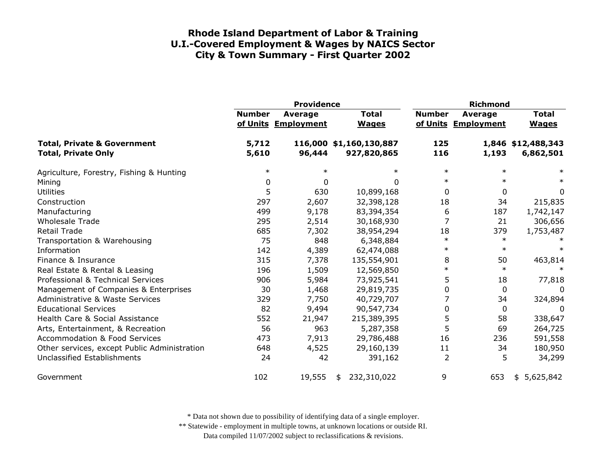|                                                                      | <b>Providence</b> |                                       |                                        |                | <b>Richmond</b>                       |                                 |  |
|----------------------------------------------------------------------|-------------------|---------------------------------------|----------------------------------------|----------------|---------------------------------------|---------------------------------|--|
|                                                                      | <b>Number</b>     | <b>Average</b><br>of Units Employment | <b>Total</b><br><b>Wages</b>           | <b>Number</b>  | <b>Average</b><br>of Units Employment | <b>Total</b><br><b>Wages</b>    |  |
| <b>Total, Private &amp; Government</b><br><b>Total, Private Only</b> | 5,712<br>5,610    | 96,444                                | 116,000 \$1,160,130,887<br>927,820,865 | 125<br>116     | 1,193                                 | 1,846 \$12,488,343<br>6,862,501 |  |
| Agriculture, Forestry, Fishing & Hunting                             | $\ast$            | $\ast$                                | $\ast$                                 | $\ast$         | $\ast$                                | $\ast$                          |  |
| Mining                                                               | 0                 | 0                                     | 0                                      | $\ast$         | $\ast$                                | $\ast$                          |  |
| <b>Utilities</b>                                                     | 5                 | 630                                   | 10,899,168                             | 0              | 0                                     | 0                               |  |
| Construction                                                         | 297               | 2,607                                 | 32,398,128                             | 18             | 34                                    | 215,835                         |  |
| Manufacturing                                                        | 499               | 9,178                                 | 83,394,354                             | 6              | 187                                   | 1,742,147                       |  |
| <b>Wholesale Trade</b>                                               | 295               | 2,514                                 | 30,168,930                             | 7              | 21                                    | 306,656                         |  |
| <b>Retail Trade</b>                                                  | 685               | 7,302                                 | 38,954,294                             | 18             | 379                                   | 1,753,487                       |  |
| Transportation & Warehousing                                         | 75                | 848                                   | 6,348,884                              | $\ast$         | $\ast$                                |                                 |  |
| Information                                                          | 142               | 4,389                                 | 62,474,088                             | $\ast$         | $\ast$                                | $\ast$                          |  |
| Finance & Insurance                                                  | 315               | 7,378                                 | 135,554,901                            | 8              | 50                                    | 463,814                         |  |
| Real Estate & Rental & Leasing                                       | 196               | 1,509                                 | 12,569,850                             | $\ast$         | $\ast$                                |                                 |  |
| Professional & Technical Services                                    | 906               | 5,984                                 | 73,925,541                             | 5              | 18                                    | 77,818                          |  |
| Management of Companies & Enterprises                                | 30                | 1,468                                 | 29,819,735                             | 0              | 0                                     | 0                               |  |
| Administrative & Waste Services                                      | 329               | 7,750                                 | 40,729,707                             |                | 34                                    | 324,894                         |  |
| <b>Educational Services</b>                                          | 82                | 9,494                                 | 90,547,734                             | 0              | 0                                     | 0                               |  |
| Health Care & Social Assistance                                      | 552               | 21,947                                | 215,389,395                            | 5              | 58                                    | 338,647                         |  |
| Arts, Entertainment, & Recreation                                    | 56                | 963                                   | 5,287,358                              | 5              | 69                                    | 264,725                         |  |
| <b>Accommodation &amp; Food Services</b>                             | 473               | 7,913                                 | 29,786,488                             | 16             | 236                                   | 591,558                         |  |
| Other services, except Public Administration                         | 648               | 4,525                                 | 29,160,139                             | 11             | 34                                    | 180,950                         |  |
| Unclassified Establishments                                          | 24                | 42                                    | 391,162                                | $\overline{2}$ | 5                                     | 34,299                          |  |
| Government                                                           | 102               | 19,555                                | 232,310,022<br>\$                      | 9              | 653                                   | 5,625,842<br>\$                 |  |

\* Data not shown due to possibility of identifying data of a single employer.

\*\* Statewide - employment in multiple towns, at unknown locations or outside RI.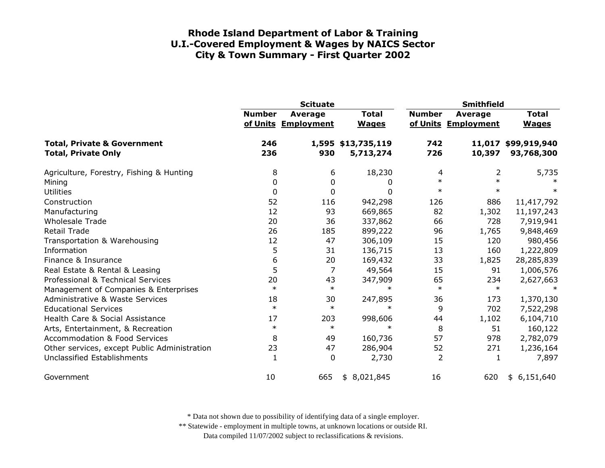|                                                                      | <b>Scituate</b> |                                |                                 | <b>Smithfield</b> |                                |                                   |
|----------------------------------------------------------------------|-----------------|--------------------------------|---------------------------------|-------------------|--------------------------------|-----------------------------------|
|                                                                      | <b>Number</b>   | Average<br>of Units Employment | <b>Total</b><br><b>Wages</b>    | <b>Number</b>     | Average<br>of Units Employment | <b>Total</b><br><b>Wages</b>      |
| <b>Total, Private &amp; Government</b><br><b>Total, Private Only</b> | 246<br>236      | 930                            | 1,595 \$13,735,119<br>5,713,274 | 742<br>726        | 10,397                         | 11,017 \$99,919,940<br>93,768,300 |
| Agriculture, Forestry, Fishing & Hunting                             | 8               | 6                              | 18,230                          | 4                 | 2                              | 5,735                             |
| Mining                                                               | 0               | 0                              | 0                               | $\ast$            | $\ast$                         |                                   |
| <b>Utilities</b>                                                     | 0               | 0                              | 0                               | $\ast$            | $\ast$                         | $\ast$                            |
| Construction                                                         | 52              | 116                            | 942,298                         | 126               | 886                            | 11,417,792                        |
| Manufacturing                                                        | 12              | 93                             | 669,865                         | 82                | 1,302                          | 11,197,243                        |
| <b>Wholesale Trade</b>                                               | 20              | 36                             | 337,862                         | 66                | 728                            | 7,919,941                         |
| <b>Retail Trade</b>                                                  | 26              | 185                            | 899,222                         | 96                | 1,765                          | 9,848,469                         |
| Transportation & Warehousing                                         | 12              | 47                             | 306,109                         | 15                | 120                            | 980,456                           |
| Information                                                          | 5               | 31                             | 136,715                         | 13                | 160                            | 1,222,809                         |
| Finance & Insurance                                                  | 6               | 20                             | 169,432                         | 33                | 1,825                          | 28,285,839                        |
| Real Estate & Rental & Leasing                                       | 5               | 7                              | 49,564                          | 15                | 91                             | 1,006,576                         |
| Professional & Technical Services                                    | 20              | 43                             | 347,909                         | 65                | 234                            | 2,627,663                         |
| Management of Companies & Enterprises                                | $\ast$          | $\ast$                         | $\ast$                          | $\ast$            | $\ast$                         |                                   |
| <b>Administrative &amp; Waste Services</b>                           | 18              | 30                             | 247,895                         | 36                | 173                            | 1,370,130                         |
| <b>Educational Services</b>                                          | $\ast$          | $\ast$                         | $\ast$                          | 9                 | 702                            | 7,522,298                         |
| Health Care & Social Assistance                                      | 17              | 203                            | 998,606                         | 44                | 1,102                          | 6,104,710                         |
| Arts, Entertainment, & Recreation                                    | $\ast$          | $\ast$                         | $\ast$                          | 8                 | 51                             | 160,122                           |
| <b>Accommodation &amp; Food Services</b>                             | 8               | 49                             | 160,736                         | 57                | 978                            | 2,782,079                         |
| Other services, except Public Administration                         | 23              | 47                             | 286,904                         | 52                | 271                            | 1,236,164                         |
| <b>Unclassified Establishments</b>                                   | $\mathbf{1}$    | 0                              | 2,730                           | $\overline{2}$    | 1                              | 7,897                             |
| Government                                                           | 10              | 665                            | 8,021,845<br>\$                 | 16                | 620                            | \$6,151,640                       |

\* Data not shown due to possibility of identifying data of a single employer.

\*\* Statewide - employment in multiple towns, at unknown locations or outside RI.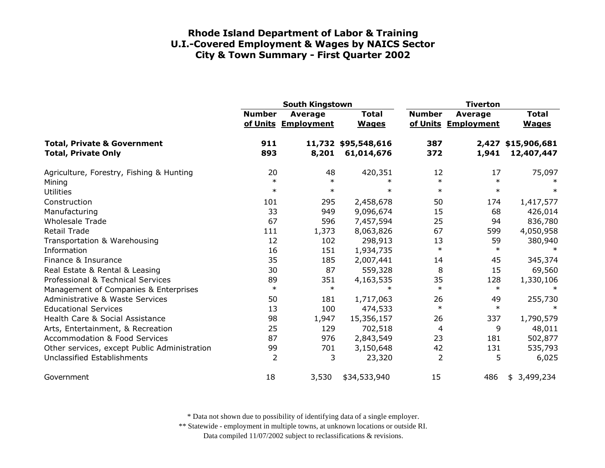|                                                                      | <b>South Kingstown</b> |                                       |                                   | <b>Tiverton</b>        |                                       |                                  |
|----------------------------------------------------------------------|------------------------|---------------------------------------|-----------------------------------|------------------------|---------------------------------------|----------------------------------|
|                                                                      | <b>Number</b>          | <b>Average</b><br>of Units Employment | <b>Total</b><br><b>Wages</b>      | <b>Number</b>          | <b>Average</b><br>of Units Employment | <b>Total</b><br><b>Wages</b>     |
| <b>Total, Private &amp; Government</b><br><b>Total, Private Only</b> | 911<br>893             | 8,201                                 | 11,732 \$95,548,616<br>61,014,676 | 387<br>372             | 1,941                                 | 2,427 \$15,906,681<br>12,407,447 |
| Agriculture, Forestry, Fishing & Hunting<br>Mining                   | 20<br>$\ast$<br>$\ast$ | 48<br>$\ast$<br>$\ast$                | 420,351<br>$\ast$<br>$\ast$       | 12<br>$\ast$<br>$\ast$ | 17<br>$\ast$<br>$\ast$                | 75,097<br>$\ast$                 |
| <b>Utilities</b><br>Construction<br>Manufacturing                    | 101<br>33              | 295<br>949                            | 2,458,678<br>9,096,674            | 50<br>15               | 174<br>68                             | 1,417,577<br>426,014             |
| <b>Wholesale Trade</b>                                               | 67                     | 596                                   | 7,457,594                         | 25                     | 94                                    | 836,780                          |
| <b>Retail Trade</b>                                                  | 111                    | 1,373                                 | 8,063,826                         | 67                     | 599                                   | 4,050,958                        |
| Transportation & Warehousing                                         | 12                     | 102                                   | 298,913                           | 13                     | 59                                    | 380,940                          |
| Information                                                          | 16                     | 151                                   | 1,934,735                         | $\ast$                 | $\ast$                                | $\ast$                           |
| Finance & Insurance                                                  | 35                     | 185                                   | 2,007,441                         | 14                     | 45                                    | 345,374                          |
| Real Estate & Rental & Leasing                                       | 30                     | 87                                    | 559,328                           | 8                      | 15                                    | 69,560                           |
| Professional & Technical Services                                    | 89                     | 351                                   | 4,163,535                         | 35                     | 128                                   | 1,330,106                        |
| Management of Companies & Enterprises                                | $\ast$                 | $\ast$                                | $\ast$                            | $\ast$                 | $\ast$                                | $\ast$                           |
| Administrative & Waste Services                                      | 50                     | 181                                   | 1,717,063                         | 26                     | 49                                    | 255,730                          |
| <b>Educational Services</b>                                          | 13                     | 100                                   | 474,533                           | $\ast$                 | $\ast$                                |                                  |
| Health Care & Social Assistance                                      | 98                     | 1,947                                 | 15,356,157                        | 26                     | 337                                   | 1,790,579                        |
| Arts, Entertainment, & Recreation                                    | 25                     | 129                                   | 702,518                           | 4                      | 9                                     | 48,011                           |
| <b>Accommodation &amp; Food Services</b>                             | 87                     | 976                                   | 2,843,549                         | 23                     | 181                                   | 502,877                          |
| Other services, except Public Administration                         | 99                     | 701                                   | 3,150,648                         | 42                     | 131                                   | 535,793                          |
| Unclassified Establishments                                          | 2                      | 3                                     | 23,320                            | $\overline{2}$         | 5                                     | 6,025                            |
| Government                                                           | 18                     | 3,530                                 | \$34,533,940                      | 15                     | 486                                   | \$3,499,234                      |

\* Data not shown due to possibility of identifying data of a single employer.

\*\* Statewide - employment in multiple towns, at unknown locations or outside RI.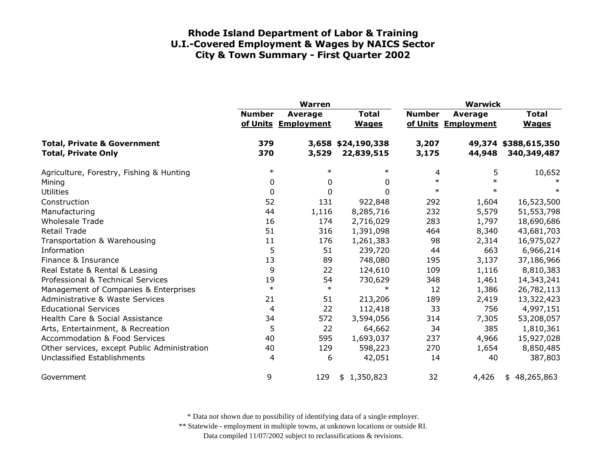|                                                                      | <b>Warren</b> |                                |                                  | <b>Warwick</b> |                                |                                     |
|----------------------------------------------------------------------|---------------|--------------------------------|----------------------------------|----------------|--------------------------------|-------------------------------------|
|                                                                      | <b>Number</b> | Average<br>of Units Employment | <b>Total</b><br><b>Wages</b>     | <b>Number</b>  | Average<br>of Units Employment | <b>Total</b><br><b>Wages</b>        |
| <b>Total, Private &amp; Government</b><br><b>Total, Private Only</b> | 379<br>370    | 3,529                          | 3,658 \$24,190,338<br>22,839,515 | 3,207<br>3,175 | 44,948                         | 49,374 \$388,615,350<br>340,349,487 |
| Agriculture, Forestry, Fishing & Hunting                             | $\ast$        | $\ast$                         | $\ast$                           | 4              | 5                              | 10,652                              |
| Mining                                                               | 0             | 0                              | 0                                | $\ast$         | $\ast$                         |                                     |
| <b>Utilities</b>                                                     | 0             | 0                              | $\Omega$                         | $\ast$         | $\ast$                         | $\ast$                              |
| Construction                                                         | 52            | 131                            | 922,848                          | 292            | 1,604                          | 16,523,500                          |
| Manufacturing                                                        | 44            | 1,116                          | 8,285,716                        | 232            | 5,579                          | 51,553,798                          |
| <b>Wholesale Trade</b>                                               | 16            | 174                            | 2,716,029                        | 283            | 1,797                          | 18,690,686                          |
| <b>Retail Trade</b>                                                  | 51            | 316                            | 1,391,098                        | 464            | 8,340                          | 43,681,703                          |
| Transportation & Warehousing                                         | 11            | 176                            | 1,261,383                        | 98             | 2,314                          | 16,975,027                          |
| Information                                                          | 5             | 51                             | 239,720                          | 44             | 663                            | 6,966,214                           |
| Finance & Insurance                                                  | 13            | 89                             | 748,080                          | 195            | 3,137                          | 37,186,966                          |
| Real Estate & Rental & Leasing                                       | 9             | 22                             | 124,610                          | 109            | 1,116                          | 8,810,383                           |
| Professional & Technical Services                                    | 19            | 54                             | 730,629                          | 348            | 1,461                          | 14,343,241                          |
| Management of Companies & Enterprises                                | $\ast$        | $\ast$                         | $\ast$                           | 12             | 1,386                          | 26,782,113                          |
| <b>Administrative &amp; Waste Services</b>                           | 21            | 51                             | 213,206                          | 189            | 2,419                          | 13,322,423                          |
| <b>Educational Services</b>                                          | 4             | 22                             | 112,418                          | 33             | 756                            | 4,997,151                           |
| Health Care & Social Assistance                                      | 34            | 572                            | 3,594,056                        | 314            | 7,305                          | 53,208,057                          |
| Arts, Entertainment, & Recreation                                    | 5             | 22                             | 64,662                           | 34             | 385                            | 1,810,361                           |
| <b>Accommodation &amp; Food Services</b>                             | 40            | 595                            | 1,693,037                        | 237            | 4,966                          | 15,927,028                          |
| Other services, except Public Administration                         | 40            | 129                            | 598,223                          | 270            | 1,654                          | 8,850,485                           |
| Unclassified Establishments                                          | 4             | 6                              | 42,051                           | 14             | 40                             | 387,803                             |
| Government                                                           | 9             | 129                            | 1,350,823<br>\$                  | 32             | 4,426                          | 48,265,863<br>\$                    |

\* Data not shown due to possibility of identifying data of a single employer.

\*\* Statewide - employment in multiple towns, at unknown locations or outside RI.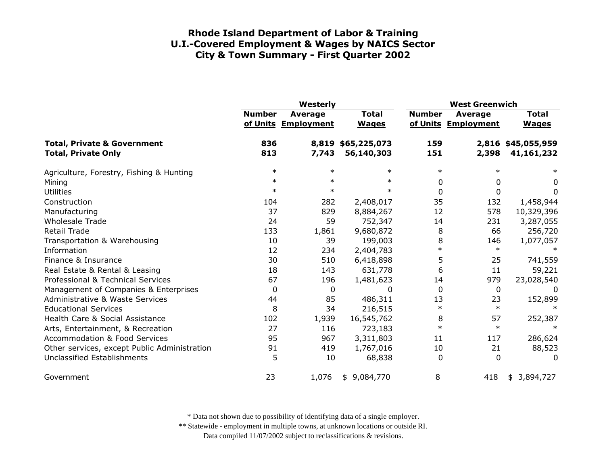|                                                                      | Westerly      |                                       |                                  | <b>West Greenwich</b> |                                       |                                  |
|----------------------------------------------------------------------|---------------|---------------------------------------|----------------------------------|-----------------------|---------------------------------------|----------------------------------|
|                                                                      | <b>Number</b> | <b>Average</b><br>of Units Employment | <b>Total</b><br><b>Wages</b>     | <b>Number</b>         | <b>Average</b><br>of Units Employment | <b>Total</b><br><b>Wages</b>     |
| <b>Total, Private &amp; Government</b><br><b>Total, Private Only</b> | 836<br>813    | 7,743                                 | 8,819 \$65,225,073<br>56,140,303 | 159<br>151            | 2,398                                 | 2,816 \$45,055,959<br>41,161,232 |
| Agriculture, Forestry, Fishing & Hunting                             | $\ast$        | $\ast$                                | $\ast$                           | $\ast$                |                                       | $\ast$                           |
| Mining                                                               | $\ast$        | $\ast$                                | $\ast$                           | 0                     | 0                                     | 0                                |
| <b>Utilities</b>                                                     | $\ast$        | $\ast$                                | $\ast$                           | 0                     | 0                                     | 0                                |
| Construction                                                         | 104           | 282                                   | 2,408,017                        | 35                    | 132                                   | 1,458,944                        |
| Manufacturing                                                        | 37            | 829                                   | 8,884,267                        | 12                    | 578                                   | 10,329,396                       |
| <b>Wholesale Trade</b>                                               | 24            | 59                                    | 752,347                          | 14                    | 231                                   | 3,287,055                        |
| <b>Retail Trade</b>                                                  | 133           | 1,861                                 | 9,680,872                        | 8                     | 66                                    | 256,720                          |
| Transportation & Warehousing                                         | 10            | 39                                    | 199,003                          | 8                     | 146                                   | 1,077,057                        |
| Information                                                          | 12            | 234                                   | 2,404,783                        | $\ast$                | $\ast$                                | ∗                                |
| Finance & Insurance                                                  | 30            | 510                                   | 6,418,898                        | 5                     | 25                                    | 741,559                          |
| Real Estate & Rental & Leasing                                       | 18            | 143                                   | 631,778                          | 6                     | 11                                    | 59,221                           |
| Professional & Technical Services                                    | 67            | 196                                   | 1,481,623                        | 14                    | 979                                   | 23,028,540                       |
| Management of Companies & Enterprises                                | 0             | 0                                     | 0                                | $\Omega$              | 0                                     | $\Omega$                         |
| Administrative & Waste Services                                      | 44            | 85                                    | 486,311                          | 13                    | 23                                    | 152,899                          |
| <b>Educational Services</b>                                          | 8             | 34                                    | 216,515                          | $\ast$                | $\ast$                                |                                  |
| Health Care & Social Assistance                                      | 102           | 1,939                                 | 16,545,762                       | 8                     | 57                                    | 252,387                          |
| Arts, Entertainment, & Recreation                                    | 27            | 116                                   | 723,183                          | $\ast$                | $\ast$                                | $\ast$                           |
| <b>Accommodation &amp; Food Services</b>                             | 95            | 967                                   | 3,311,803                        | 11                    | 117                                   | 286,624                          |
| Other services, except Public Administration                         | 91            | 419                                   | 1,767,016                        | 10                    | 21                                    | 88,523                           |
| Unclassified Establishments                                          | 5             | 10                                    | 68,838                           | 0                     | $\Omega$                              | 0                                |
| Government                                                           | 23            | 1,076                                 | \$9,084,770                      | 8                     | 418                                   | \$3,894,727                      |

\* Data not shown due to possibility of identifying data of a single employer.

\*\* Statewide - employment in multiple towns, at unknown locations or outside RI.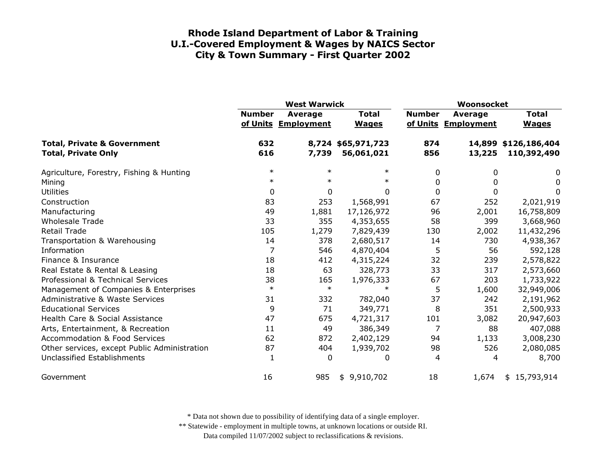|                                                                      | <b>West Warwick</b> |                                |                                  | Woonsocket    |                                       |                                     |
|----------------------------------------------------------------------|---------------------|--------------------------------|----------------------------------|---------------|---------------------------------------|-------------------------------------|
|                                                                      | <b>Number</b>       | Average<br>of Units Employment | <b>Total</b><br><b>Wages</b>     | <b>Number</b> | <b>Average</b><br>of Units Employment | <b>Total</b><br><b>Wages</b>        |
| <b>Total, Private &amp; Government</b><br><b>Total, Private Only</b> | 632<br>616          | 7,739                          | 8,724 \$65,971,723<br>56,061,021 | 874<br>856    | 13,225                                | 14,899 \$126,186,404<br>110,392,490 |
| Agriculture, Forestry, Fishing & Hunting                             | $\ast$              | $\ast$                         | $\ast$                           | 0             | 0                                     | 0                                   |
| Mining                                                               | $\ast$              | $\ast$                         | $\ast$                           | 0             | $\Omega$                              | 0                                   |
| <b>Utilities</b>                                                     | 0                   | 0                              | $\Omega$                         | $\mathbf{0}$  | 0                                     | 0                                   |
| Construction                                                         | 83                  | 253                            | 1,568,991                        | 67            | 252                                   | 2,021,919                           |
| Manufacturing                                                        | 49                  | 1,881                          | 17,126,972                       | 96            | 2,001                                 | 16,758,809                          |
| <b>Wholesale Trade</b>                                               | 33                  | 355                            | 4,353,655                        | 58            | 399                                   | 3,668,960                           |
| <b>Retail Trade</b>                                                  | 105                 | 1,279                          | 7,829,439                        | 130           | 2,002                                 | 11,432,296                          |
| Transportation & Warehousing                                         | 14                  | 378                            | 2,680,517                        | 14            | 730                                   | 4,938,367                           |
| Information                                                          | 7                   | 546                            | 4,870,404                        | 5             | 56                                    | 592,128                             |
| Finance & Insurance                                                  | 18                  | 412                            | 4,315,224                        | 32            | 239                                   | 2,578,822                           |
| Real Estate & Rental & Leasing                                       | 18                  | 63                             | 328,773                          | 33            | 317                                   | 2,573,660                           |
| Professional & Technical Services                                    | 38                  | 165                            | 1,976,333                        | 67            | 203                                   | 1,733,922                           |
| Management of Companies & Enterprises                                | $\ast$              | $\ast$                         | $\ast$                           | 5             | 1,600                                 | 32,949,006                          |
| <b>Administrative &amp; Waste Services</b>                           | 31                  | 332                            | 782,040                          | 37            | 242                                   | 2,191,962                           |
| <b>Educational Services</b>                                          | 9                   | 71                             | 349,771                          | 8             | 351                                   | 2,500,933                           |
| Health Care & Social Assistance                                      | 47                  | 675                            | 4,721,317                        | 101           | 3,082                                 | 20,947,603                          |
| Arts, Entertainment, & Recreation                                    | 11                  | 49                             | 386,349                          | 7             | 88                                    | 407,088                             |
| <b>Accommodation &amp; Food Services</b>                             | 62                  | 872                            | 2,402,129                        | 94            | 1,133                                 | 3,008,230                           |
| Other services, except Public Administration                         | 87                  | 404                            | 1,939,702                        | 98            | 526                                   | 2,080,085                           |
| Unclassified Establishments                                          | 1                   | 0                              | 0                                | 4             | 4                                     | 8,700                               |
| Government                                                           | 16                  | 985                            | 9,910,702<br>\$                  | 18            | 1,674                                 | \$15,793,914                        |

\* Data not shown due to possibility of identifying data of a single employer.

\*\* Statewide - employment in multiple towns, at unknown locations or outside RI.